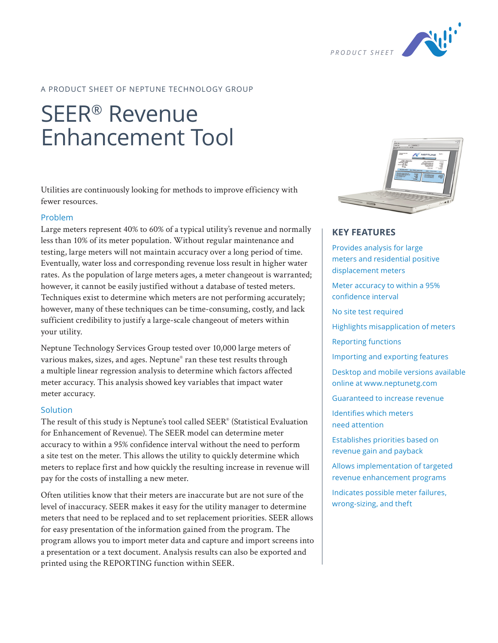

## A PRODUCT SHEET OF NEPTUNE TECHNOLOGY GROUP

# SEER® Revenue Enhancement Tool

Utilities are continuously looking for methods to improve efficiency with fewer resources.

#### Problem

Large meters represent 40% to 60% of a typical utility's revenue and normally less than 10% of its meter population. Without regular maintenance and testing, large meters will not maintain accuracy over a long period of time. Eventually, water loss and corresponding revenue loss result in higher water rates. As the population of large meters ages, a meter changeout is warranted; however, it cannot be easily justified without a database of tested meters. Techniques exist to determine which meters are not performing accurately; however, many of these techniques can be time-consuming, costly, and lack sufficient credibility to justify a large-scale changeout of meters within your utility.

Neptune Technology Services Group tested over 10,000 large meters of various makes, sizes, and ages. Neptune® ran these test results through a multiple linear regression analysis to determine which factors affected meter accuracy. This analysis showed key variables that impact water meter accuracy.

#### Solution

The result of this study is Neptune's tool called SEER® (Statistical Evaluation for Enhancement of Revenue). The SEER model can determine meter accuracy to within a 95% confidence interval without the need to perform a site test on the meter. This allows the utility to quickly determine which meters to replace first and how quickly the resulting increase in revenue will pay for the costs of installing a new meter.

Often utilities know that their meters are inaccurate but are not sure of the level of inaccuracy. SEER makes it easy for the utility manager to determine meters that need to be replaced and to set replacement priorities. SEER allows for easy presentation of the information gained from the program. The program allows you to import meter data and capture and import screens into a presentation or a text document. Analysis results can also be exported and printed using the REPORTING function within SEER.



## **KEY FEATURES**

Provides analysis for large meters and residential positive displacement meters Meter accuracy to within a 95% confidence interval No site test required Highlights misapplication of meters Reporting functions Importing and exporting features Desktop and mobile versions available online at www.neptunetg.com Guaranteed to increase revenue Identifies which meters need attention Establishes priorities based on revenue gain and payback Allows implementation of targeted revenue enhancement programs

Indicates possible meter failures, wrong-sizing, and theft